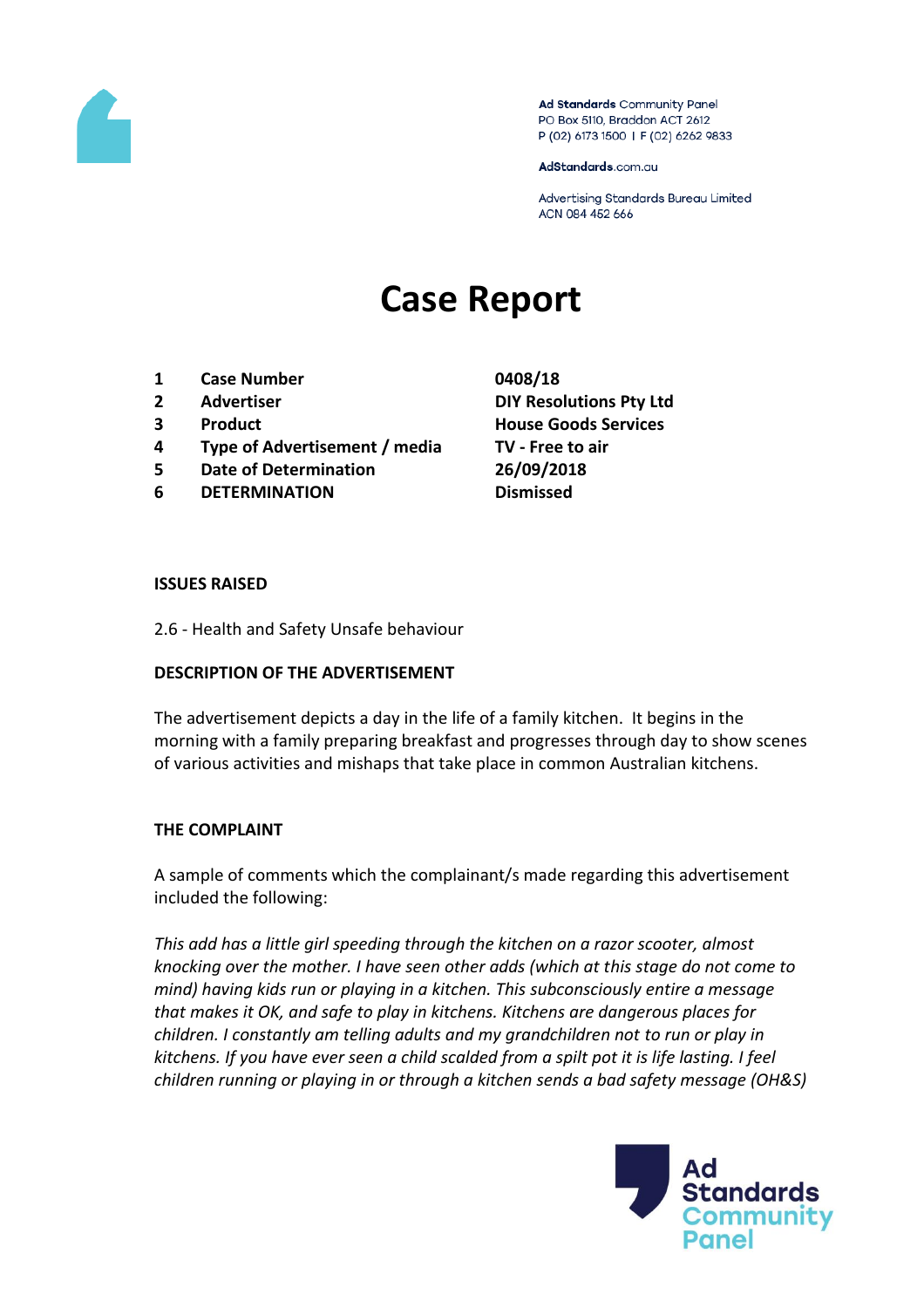

Ad Standards Community Panel PO Box 5110, Braddon ACT 2612 P (02) 6173 1500 | F (02) 6262 9833

AdStandards.com.au

Advertising Standards Bureau Limited ACN 084 452 666

# **Case Report**

- **1 Case Number 0408/18**
- 
- 
- **4 Type of Advertisement / media TV - Free to air**
- **5 Date of Determination 26/09/2018**
- **6 DETERMINATION Dismissed**
- **2 Advertiser DIY Resolutions Pty Ltd 3 Product House Goods Services**

### **ISSUES RAISED**

2.6 - Health and Safety Unsafe behaviour

## **DESCRIPTION OF THE ADVERTISEMENT**

The advertisement depicts a day in the life of a family kitchen. It begins in the morning with a family preparing breakfast and progresses through day to show scenes of various activities and mishaps that take place in common Australian kitchens.

## **THE COMPLAINT**

A sample of comments which the complainant/s made regarding this advertisement included the following:

*This add has a little girl speeding through the kitchen on a razor scooter, almost knocking over the mother. I have seen other adds (which at this stage do not come to mind) having kids run or playing in a kitchen. This subconsciously entire a message that makes it OK, and safe to play in kitchens. Kitchens are dangerous places for children. I constantly am telling adults and my grandchildren not to run or play in kitchens. If you have ever seen a child scalded from a spilt pot it is life lasting. I feel children running or playing in or through a kitchen sends a bad safety message (OH&S)*

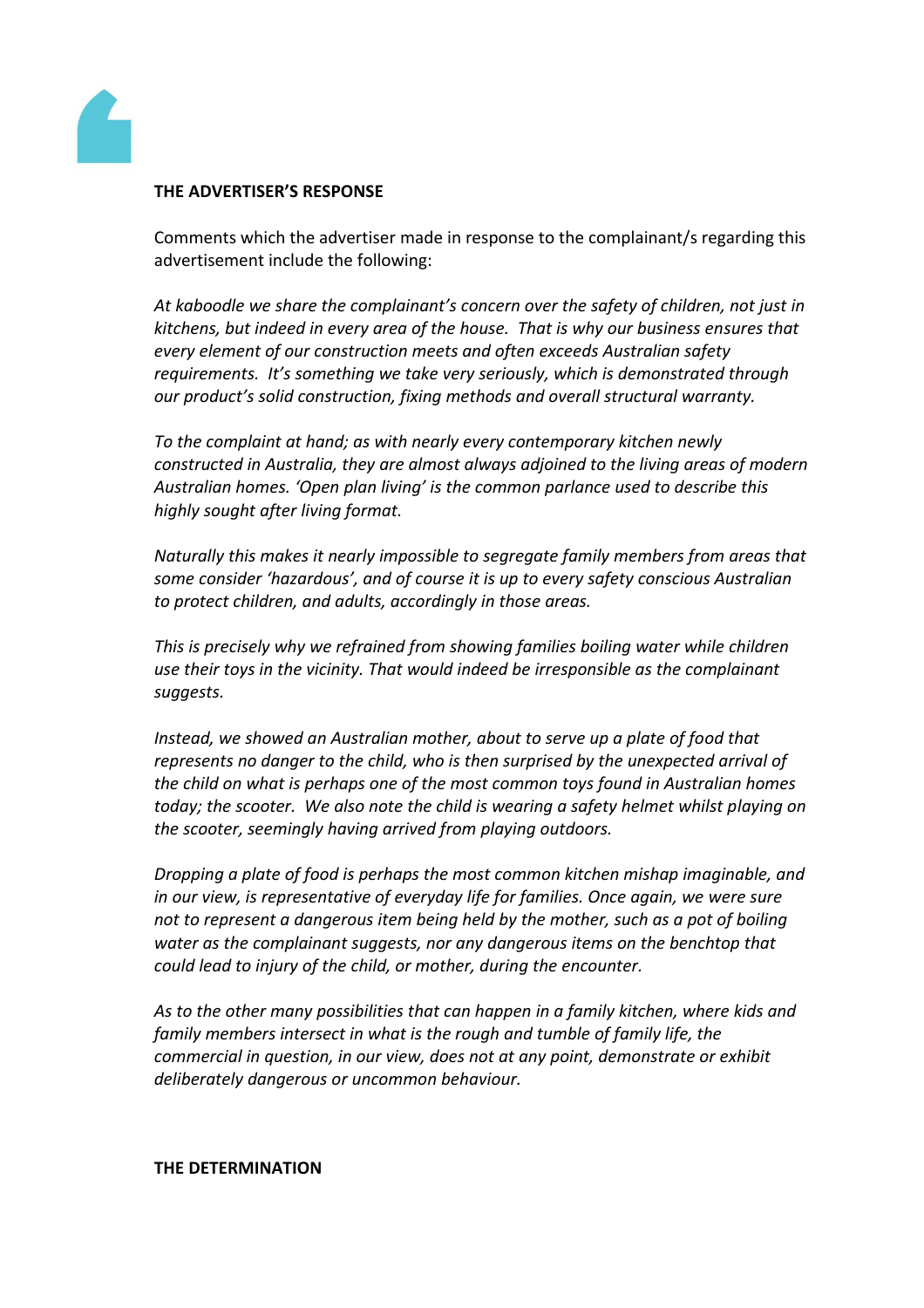

## **THE ADVERTISER'S RESPONSE**

Comments which the advertiser made in response to the complainant/s regarding this advertisement include the following:

*At kaboodle we share the complainant's concern over the safety of children, not just in kitchens, but indeed in every area of the house. That is why our business ensures that every element of our construction meets and often exceeds Australian safety requirements. It's something we take very seriously, which is demonstrated through our product's solid construction, fixing methods and overall structural warranty.*

*To the complaint at hand; as with nearly every contemporary kitchen newly constructed in Australia, they are almost always adjoined to the living areas of modern Australian homes. 'Open plan living' is the common parlance used to describe this highly sought after living format.*

*Naturally this makes it nearly impossible to segregate family members from areas that some consider 'hazardous', and of course it is up to every safety conscious Australian to protect children, and adults, accordingly in those areas.*

*This is precisely why we refrained from showing families boiling water while children use their toys in the vicinity. That would indeed be irresponsible as the complainant suggests.*

*Instead, we showed an Australian mother, about to serve up a plate of food that represents no danger to the child, who is then surprised by the unexpected arrival of the child on what is perhaps one of the most common toys found in Australian homes today; the scooter. We also note the child is wearing a safety helmet whilst playing on the scooter, seemingly having arrived from playing outdoors.*

*Dropping a plate of food is perhaps the most common kitchen mishap imaginable, and in our view, is representative of everyday life for families. Once again, we were sure not to represent a dangerous item being held by the mother, such as a pot of boiling water as the complainant suggests, nor any dangerous items on the benchtop that could lead to injury of the child, or mother, during the encounter.*

*As to the other many possibilities that can happen in a family kitchen, where kids and family members intersect in what is the rough and tumble of family life, the commercial in question, in our view, does not at any point, demonstrate or exhibit deliberately dangerous or uncommon behaviour.*

**THE DETERMINATION**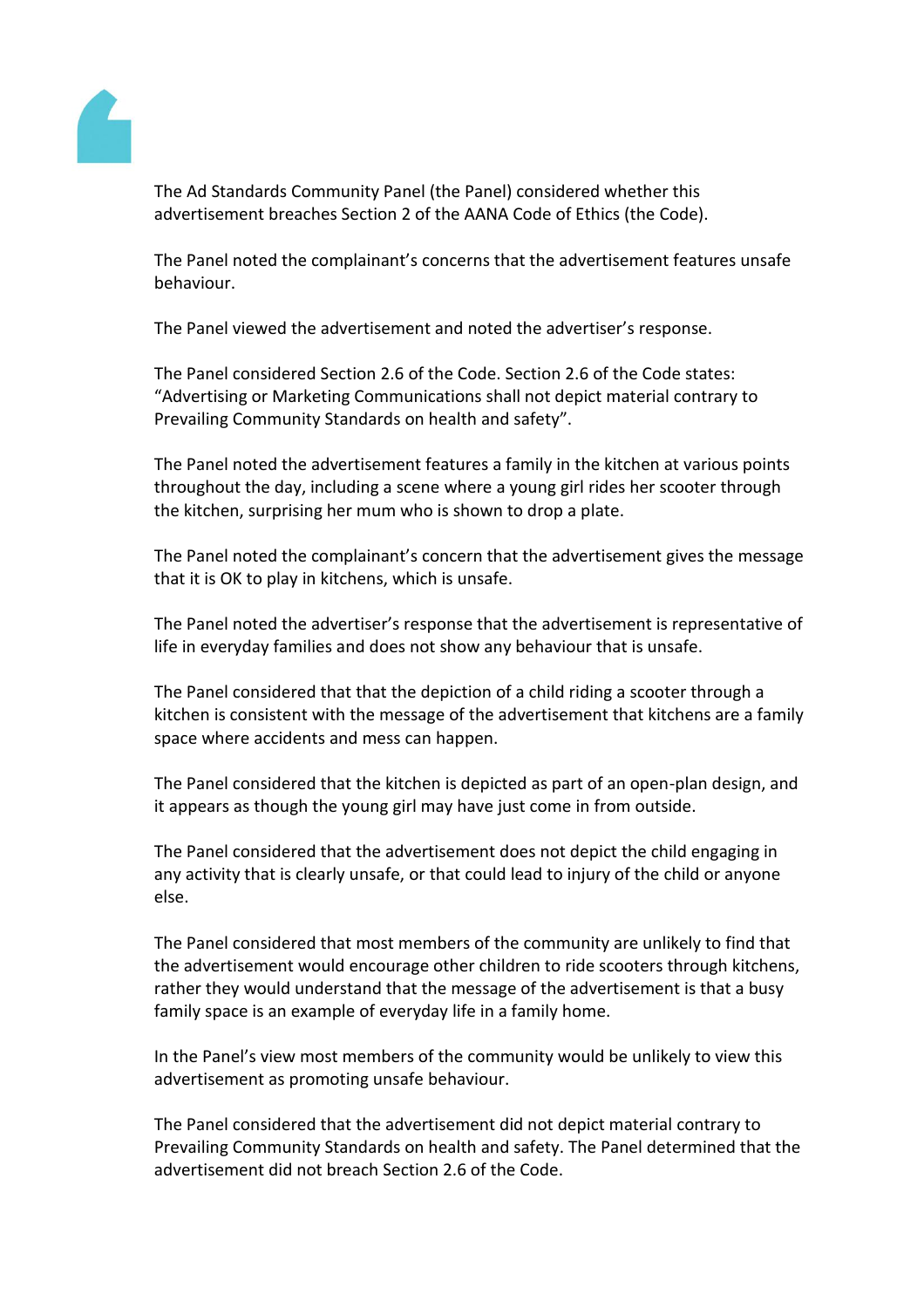

The Ad Standards Community Panel (the Panel) considered whether this advertisement breaches Section 2 of the AANA Code of Ethics (the Code).

The Panel noted the complainant's concerns that the advertisement features unsafe behaviour.

The Panel viewed the advertisement and noted the advertiser's response.

The Panel considered Section 2.6 of the Code. Section 2.6 of the Code states: "Advertising or Marketing Communications shall not depict material contrary to Prevailing Community Standards on health and safety".

The Panel noted the advertisement features a family in the kitchen at various points throughout the day, including a scene where a young girl rides her scooter through the kitchen, surprising her mum who is shown to drop a plate.

The Panel noted the complainant's concern that the advertisement gives the message that it is OK to play in kitchens, which is unsafe.

The Panel noted the advertiser's response that the advertisement is representative of life in everyday families and does not show any behaviour that is unsafe.

The Panel considered that that the depiction of a child riding a scooter through a kitchen is consistent with the message of the advertisement that kitchens are a family space where accidents and mess can happen.

The Panel considered that the kitchen is depicted as part of an open-plan design, and it appears as though the young girl may have just come in from outside.

The Panel considered that the advertisement does not depict the child engaging in any activity that is clearly unsafe, or that could lead to injury of the child or anyone else.

The Panel considered that most members of the community are unlikely to find that the advertisement would encourage other children to ride scooters through kitchens, rather they would understand that the message of the advertisement is that a busy family space is an example of everyday life in a family home.

In the Panel's view most members of the community would be unlikely to view this advertisement as promoting unsafe behaviour.

The Panel considered that the advertisement did not depict material contrary to Prevailing Community Standards on health and safety. The Panel determined that the advertisement did not breach Section 2.6 of the Code.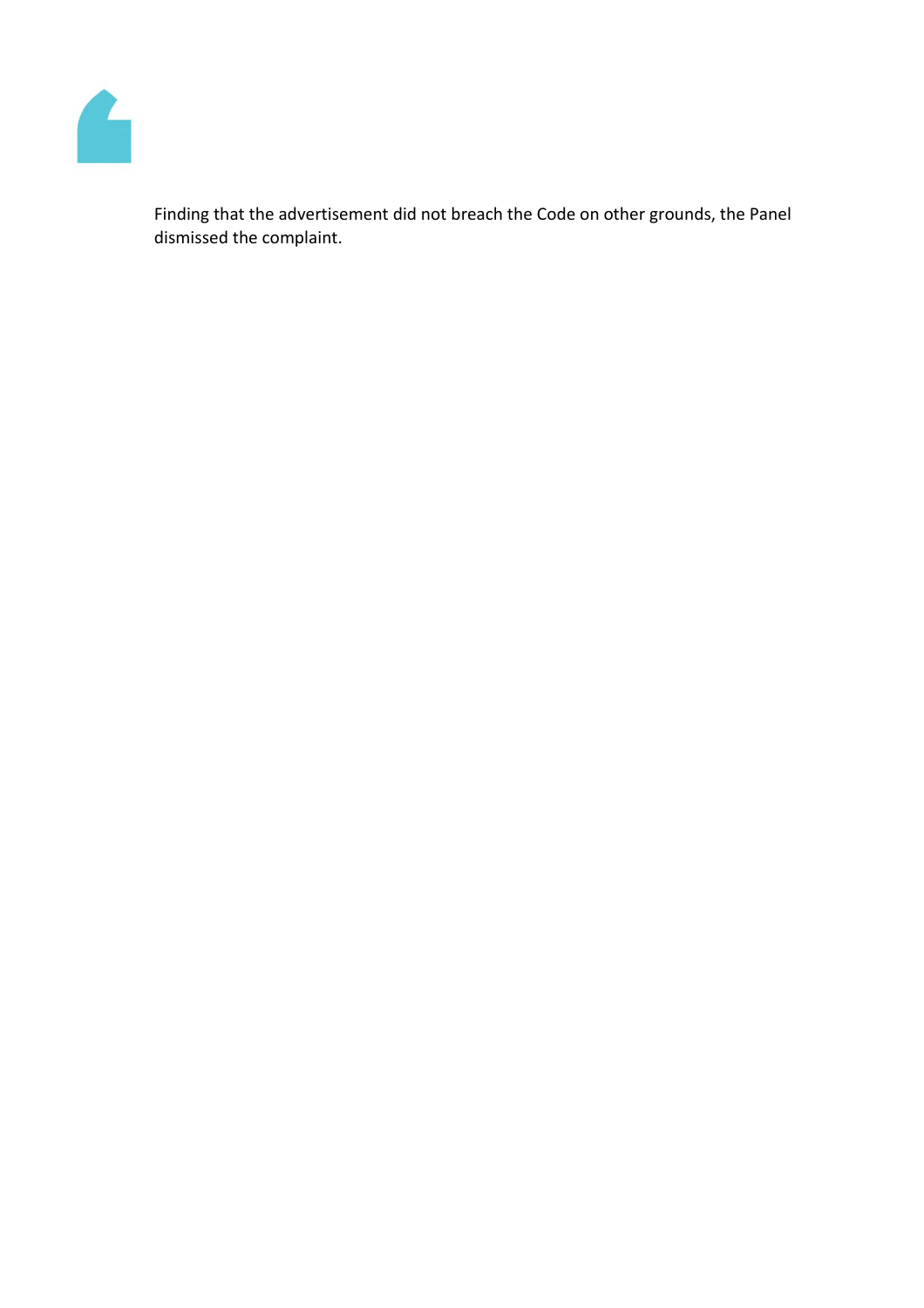

Finding that the advertisement did not breach the Code on other grounds, the Panel dismissed the complaint.